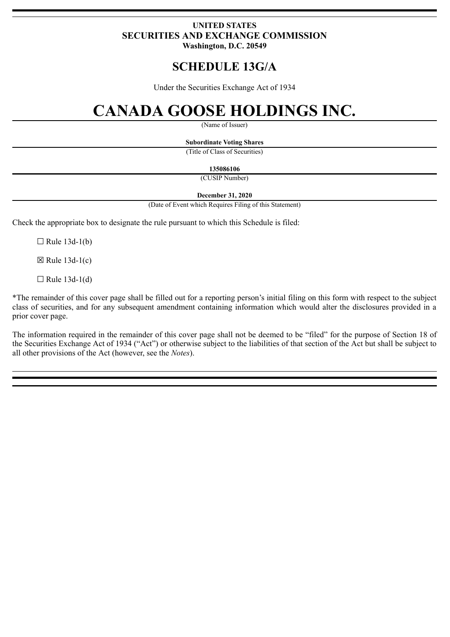## **UNITED STATES SECURITIES AND EXCHANGE COMMISSION Washington, D.C. 20549**

## **SCHEDULE 13G/A**

Under the Securities Exchange Act of 1934

# **CANADA GOOSE HOLDINGS INC.**

(Name of Issuer)

**Subordinate Voting Shares**

(Title of Class of Securities)

**135086106**

(CUSIP Number)

## **December 31, 2020**

(Date of Event which Requires Filing of this Statement)

Check the appropriate box to designate the rule pursuant to which this Schedule is filed:

 $\Box$  Rule 13d-1(b)

 $\boxtimes$  Rule 13d-1(c)

 $\Box$  Rule 13d-1(d)

\*The remainder of this cover page shall be filled out for a reporting person's initial filing on this form with respect to the subject class of securities, and for any subsequent amendment containing information which would alter the disclosures provided in a prior cover page.

The information required in the remainder of this cover page shall not be deemed to be "filed" for the purpose of Section 18 of the Securities Exchange Act of 1934 ("Act") or otherwise subject to the liabilities of that section of the Act but shall be subject to all other provisions of the Act (however, see the *Notes*).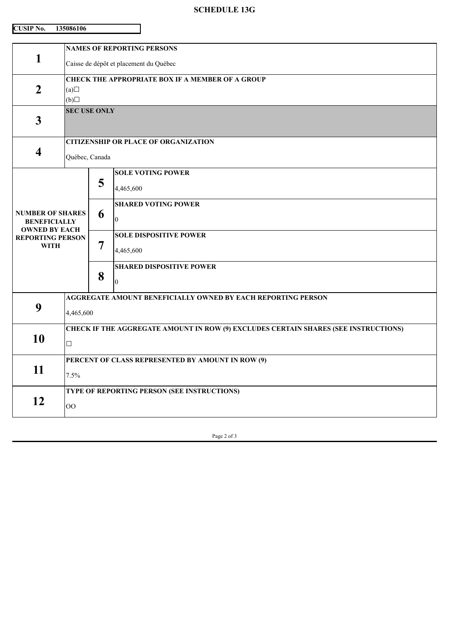## **SCHEDULE 13G**

| CUSIP No. | 135086106 |
|-----------|-----------|
|           |           |

| <b>NAMES OF REPORTING PERSONS</b>                                                   |                                                        |                                    |  |
|-------------------------------------------------------------------------------------|--------------------------------------------------------|------------------------------------|--|
| Caisse de dépôt et placement du Québec                                              |                                                        |                                    |  |
| <b>CHECK THE APPROPRIATE BOX IF A MEMBER OF A GROUP</b>                             |                                                        |                                    |  |
| (a)                                                                                 |                                                        |                                    |  |
|                                                                                     |                                                        |                                    |  |
|                                                                                     |                                                        |                                    |  |
| <b>CITIZENSHIP OR PLACE OF ORGANIZATION</b>                                         |                                                        |                                    |  |
| Québec, Canada                                                                      |                                                        |                                    |  |
|                                                                                     |                                                        | <b>SOLE VOTING POWER</b>           |  |
|                                                                                     | 4,465,600                                              |                                    |  |
|                                                                                     |                                                        | <b>SHARED VOTING POWER</b>         |  |
| <b>BENEFICIALLY</b>                                                                 |                                                        | $\Omega$                           |  |
| <b>REPORTING PERSON</b>                                                             | 7                                                      | <b>SOLE DISPOSITIVE POWER</b>      |  |
|                                                                                     |                                                        | 4,465,600                          |  |
|                                                                                     |                                                        | <b>SHARED DISPOSITIVE POWER</b>    |  |
|                                                                                     | $\overline{0}$                                         |                                    |  |
| AGGREGATE AMOUNT BENEFICIALLY OWNED BY EACH REPORTING PERSON                        |                                                        |                                    |  |
| 9<br>4,465,600                                                                      |                                                        |                                    |  |
| CHECK IF THE AGGREGATE AMOUNT IN ROW (9) EXCLUDES CERTAIN SHARES (SEE INSTRUCTIONS) |                                                        |                                    |  |
| $\Box$                                                                              |                                                        |                                    |  |
| PERCENT OF CLASS REPRESENTED BY AMOUNT IN ROW (9)                                   |                                                        |                                    |  |
| 7.5%                                                                                |                                                        |                                    |  |
| TYPE OF REPORTING PERSON (SEE INSTRUCTIONS)                                         |                                                        |                                    |  |
| OO                                                                                  |                                                        |                                    |  |
|                                                                                     | (b)<br><b>NUMBER OF SHARES</b><br><b>OWNED BY EACH</b> | <b>SEC USE ONLY</b><br>5<br>6<br>8 |  |

Page 2 of 3